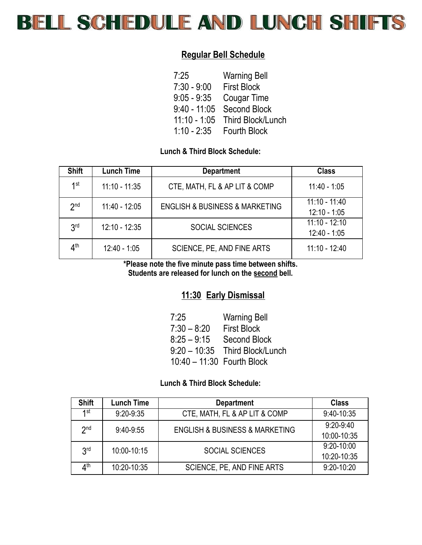

# **Regular Bell Schedule**

| 7:25           | <b>Warning Bell</b> |
|----------------|---------------------|
| $7:30 - 9:00$  | <b>First Block</b>  |
| $9:05 - 9:35$  | Cougar Time         |
| $9:40 - 11:05$ | <b>Second Block</b> |
| $11:10 - 1:05$ | Third Block/Lunch   |
| $1:10 - 2:35$  | <b>Fourth Block</b> |

## **Lunch & Third Block Schedule:**

| <b>Shift</b>    | <b>Lunch Time</b> | <b>Department</b>                             | <b>Class</b>                      |
|-----------------|-------------------|-----------------------------------------------|-----------------------------------|
| 1st             | $11:10 - 11:35$   | CTE, MATH, FL & AP LIT & COMP                 | $11:40 - 1:05$                    |
| 2 <sub>nd</sub> | $11:40 - 12:05$   | <b>ENGLISH &amp; BUSINESS &amp; MARKETING</b> | $11:10 - 11:40$<br>$12:10 - 1:05$ |
| 3 <sup>rd</sup> | $12:10 - 12:35$   | <b>SOCIAL SCIENCES</b>                        | $11:10 - 12:10$<br>$12:40 - 1:05$ |
| 4 <sup>th</sup> | $12:40 - 1:05$    | SCIENCE, PE, AND FINE ARTS                    | $11:10 - 12:40$                   |

**\*Please note the five minute pass time between shifts. Students are released for lunch on the second bell.**

## **11:30 Early Dismissal**

| 7:25                       | <b>Warning Bell</b>            |
|----------------------------|--------------------------------|
| $7:30 - 8:20$              | <b>First Block</b>             |
| $8:25 - 9:15$              | <b>Second Block</b>            |
|                            | 9:20 - 10:35 Third Block/Lunch |
| 10:40 - 11:30 Fourth Block |                                |

### **Lunch & Third Block Schedule:**

| <b>Shift</b>    | <b>Lunch Time</b> | <b>Department</b>                             | <b>Class</b>   |
|-----------------|-------------------|-----------------------------------------------|----------------|
| <b>1</b> st     | $9:20-9:35$       | CTE, MATH, FL & AP LIT & COMP                 | $9:40-10:35$   |
| 2 <sub>nd</sub> | $9:40-9:55$       | <b>ENGLISH &amp; BUSINESS &amp; MARKETING</b> | $9:20 - 9:40$  |
|                 |                   |                                               | 10:00-10:35    |
| 3 <sub>rd</sub> | 10:00-10:15       | <b>SOCIAL SCIENCES</b>                        | $9:20-10:00$   |
|                 |                   |                                               | 10:20-10:35    |
| ⊿th             | 10:20-10:35       | SCIENCE, PE, AND FINE ARTS                    | $9:20 - 10:20$ |